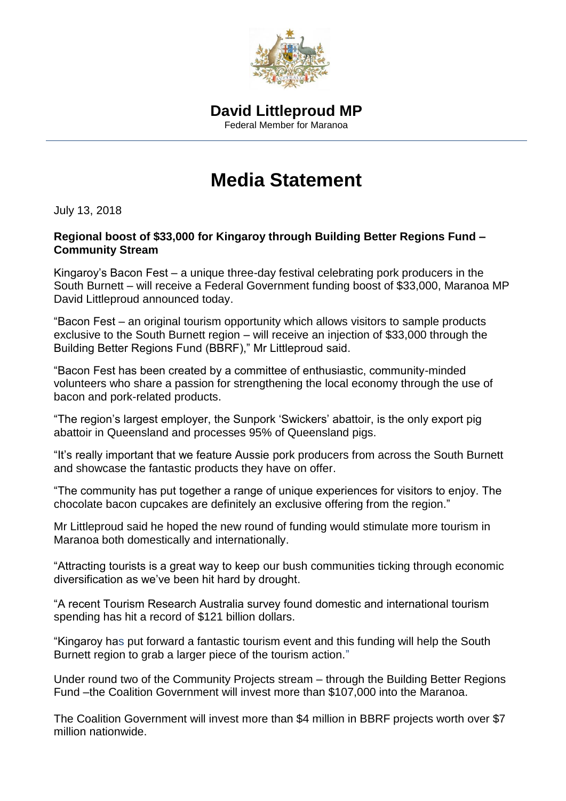

## **Media Statement**

July 13, 2018

## **Regional boost of \$33,000 for Kingaroy through Building Better Regions Fund – Community Stream**

Kingaroy's Bacon Fest – a unique three-day festival celebrating pork producers in the South Burnett – will receive a Federal Government funding boost of \$33,000, Maranoa MP David Littleproud announced today.

"Bacon Fest – an original tourism opportunity which allows visitors to sample products exclusive to the South Burnett region – will receive an injection of \$33,000 through the Building Better Regions Fund (BBRF)," Mr Littleproud said.

"Bacon Fest has been created by a committee of enthusiastic, community-minded volunteers who share a passion for strengthening the local economy through the use of bacon and pork-related products.

"The region's largest employer, the Sunpork 'Swickers' abattoir, is the only export pig abattoir in Queensland and processes 95% of Queensland pigs.

"It's really important that we feature Aussie pork producers from across the South Burnett and showcase the fantastic products they have on offer.

"The community has put together a range of unique experiences for visitors to enjoy. The chocolate bacon cupcakes are definitely an exclusive offering from the region."

Mr Littleproud said he hoped the new round of funding would stimulate more tourism in Maranoa both domestically and internationally.

"Attracting tourists is a great way to keep our bush communities ticking through economic diversification as we've been hit hard by drought.

"A recent Tourism Research Australia survey found domestic and international tourism spending has hit a record of \$121 billion dollars.

"Kingaroy has put forward a fantastic tourism event and this funding will help the South Burnett region to grab a larger piece of the tourism action."

Under round two of the Community Projects stream – through the Building Better Regions Fund –the Coalition Government will invest more than \$107,000 into the Maranoa.

The Coalition Government will invest more than \$4 million in BBRF projects worth over \$7 million nationwide.